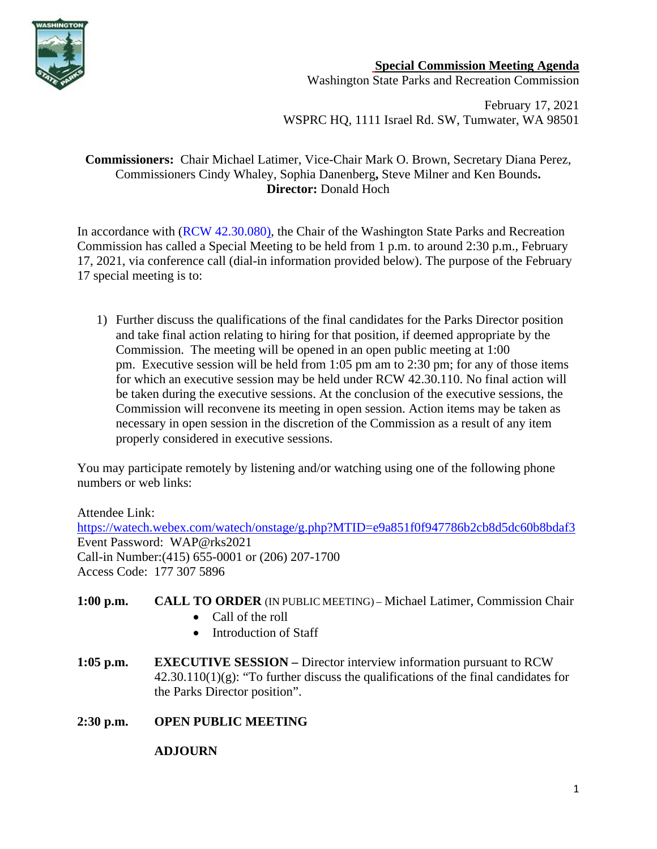

## **Special Commission Meeting Agenda**

Washington State Parks and Recreation Commission

February 17, 2021 WSPRC HQ, 1111 Israel Rd. SW, Tumwater, WA 98501

## **Commissioners:** Chair Michael Latimer, Vice-Chair Mark O. Brown, Secretary Diana Perez, Commissioners Cindy Whaley, Sophia Danenberg**,** Steve Milner and Ken Bounds**. Director:** Donald Hoch

In accordance with [\(RCW 42.30.080\)](https://gcc02.safelinks.protection.outlook.com/?url=http%3A%2F%2Fapp.leg.wa.gov%2FRCW%2Fdefault.aspx%3Fcite%3D42.30.080&data=04%7C01%7CBecki.Ellison%40parks.wa.gov%7C9d0a10a54cda45f96e1a08d8a37f32d5%7C11d0e217264e400a8ba057dcc127d72d%7C0%7C0%7C637439113993792876%7CUnknown%7CTWFpbGZsb3d8eyJWIjoiMC4wLjAwMDAiLCJQIjoiV2luMzIiLCJBTiI6Ik1haWwiLCJXVCI6Mn0%3D%7C1000&sdata=dvFG7wtQixDX%2BxAzXhZJkkn%2Bo1RvVDrbL8ymhX5GnQg%3D&reserved=0), the Chair of the Washington State Parks and Recreation Commission has called a Special Meeting to be held from 1 p.m. to around 2:30 p.m., February 17, 2021, via conference call (dial-in information provided below). The purpose of the February 17 special meeting is to:

1) Further discuss the qualifications of the final candidates for the Parks Director position and take final action relating to hiring for that position, if deemed appropriate by the Commission. The meeting will be opened in an open public meeting at 1:00 pm. Executive session will be held from 1:05 pm am to 2:30 pm; for any of those items for which an executive session may be held under RCW 42.30.110. No final action will be taken during the executive sessions. At the conclusion of the executive sessions, the Commission will reconvene its meeting in open session. Action items may be taken as necessary in open session in the discretion of the Commission as a result of any item properly considered in executive sessions.

You may participate remotely by listening and/or watching using one of the following phone numbers or web links:

Attendee Link: <https://watech.webex.com/watech/onstage/g.php?MTID=e9a851f0f947786b2cb8d5dc60b8bdaf3> Event Password: WAP@rks2021 Call-in Number:(415) 655-0001 or (206) 207-1700 Access Code: 177 307 5896

- **1:00 p.m. CALL TO ORDER** (IN PUBLIC MEETING) Michael Latimer, Commission Chair
	- Call of the roll
	- Introduction of Staff
- **1:05 p.m. EXECUTIVE SESSION –** Director interview information pursuant to RCW  $42.30.110(1)(g)$ : "To further discuss the qualifications of the final candidates for the Parks Director position".
- **2:30 p.m. OPEN PUBLIC MEETING**

## **ADJOURN**